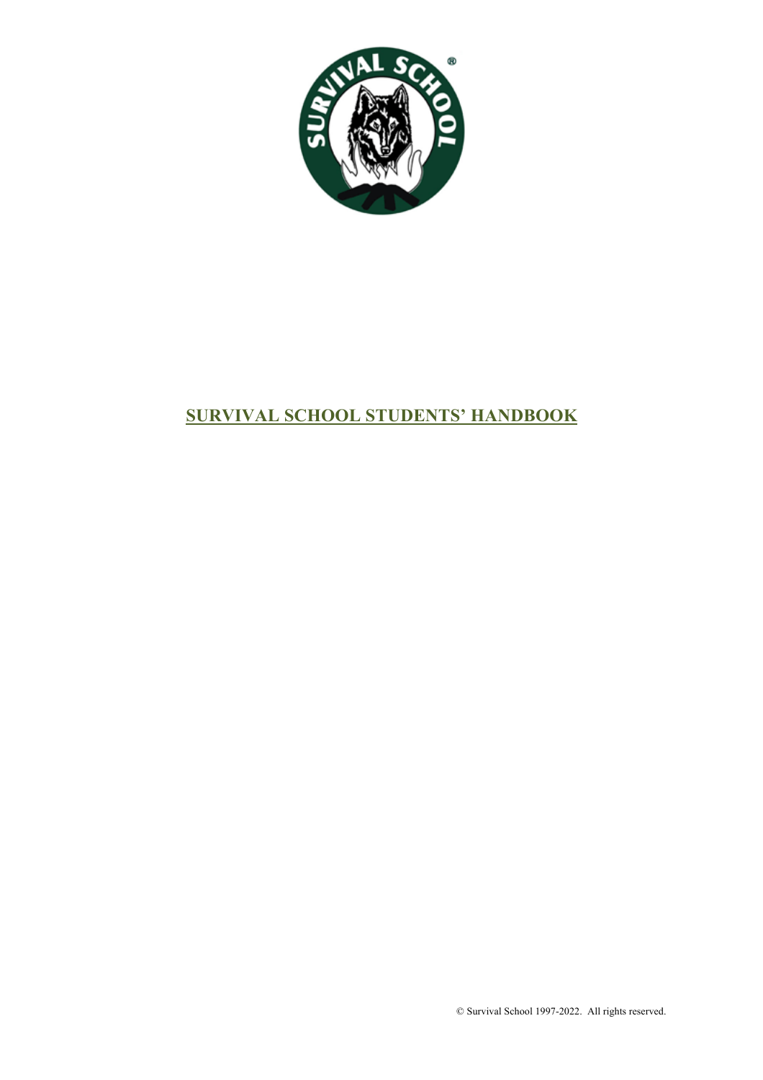

# **SURVIVAL SCHOOL STUDENTS' HANDBOOK**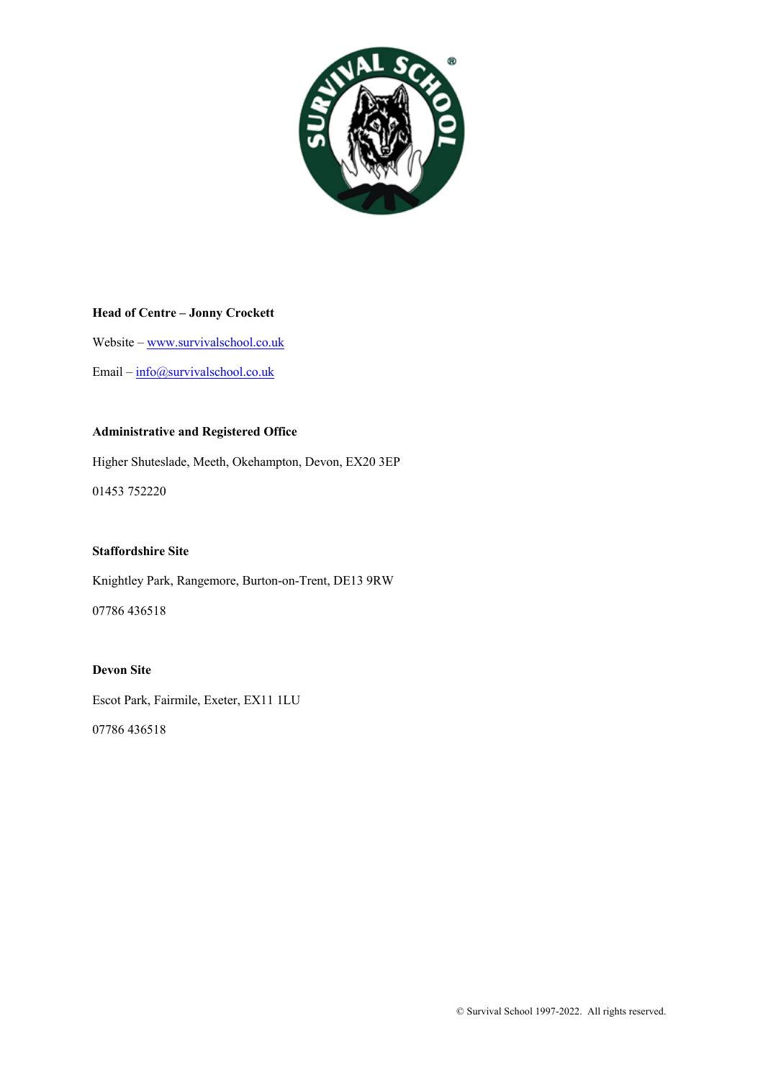

### **Head of Centre – Jonny Crockett**

Website – www.survivalschool.co.uk

Email – info@survivalschool.co.uk

### **Administrative and Registered Office**

Higher Shuteslade, Meeth, Okehampton, Devon, EX20 3EP

01453 752220

### **Staffordshire Site**

Knightley Park, Rangemore, Burton-on-Trent, DE13 9RW

07786 436518

### **Devon Site**

Escot Park, Fairmile, Exeter, EX11 1LU

07786 436518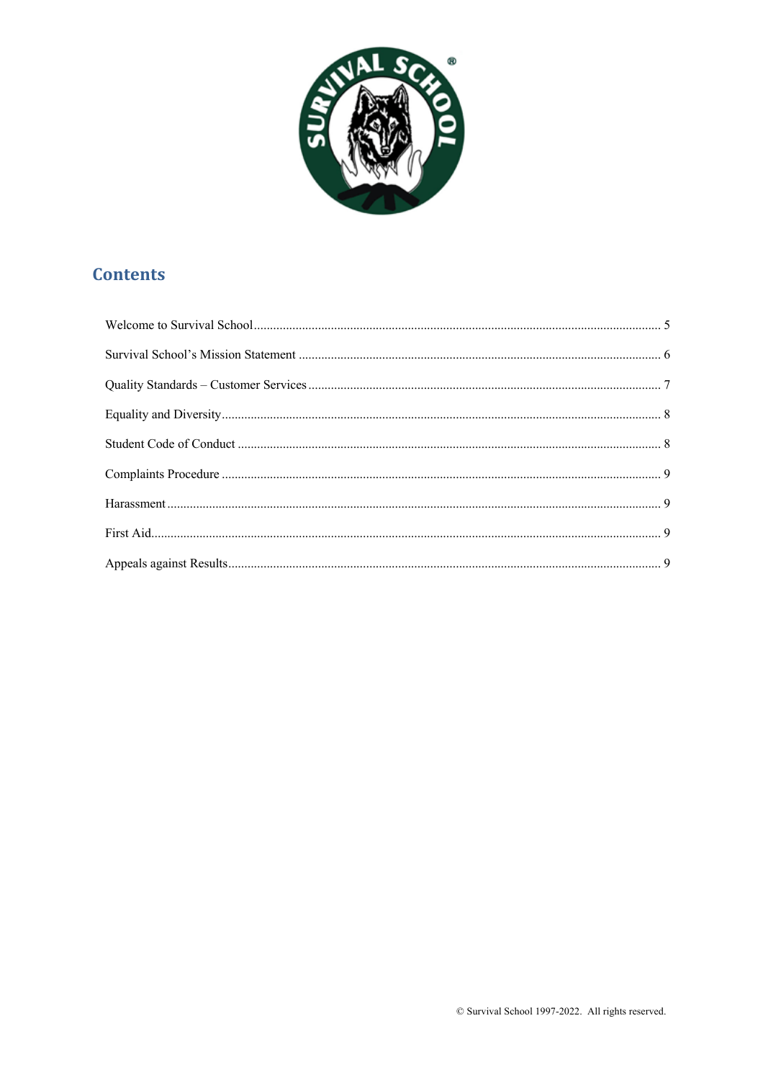

## **Contents**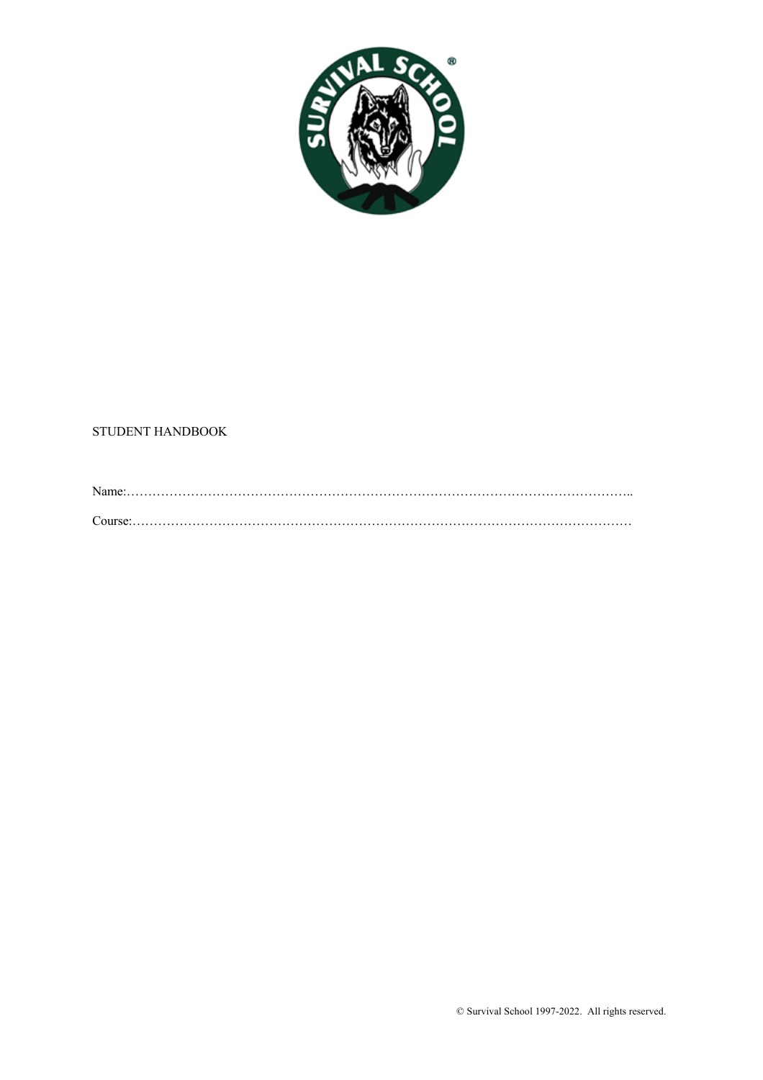

### STUDENT HANDBOOK

Name:……………………………………………………………………………………………………….. Course:………………………………………………………………………………………………………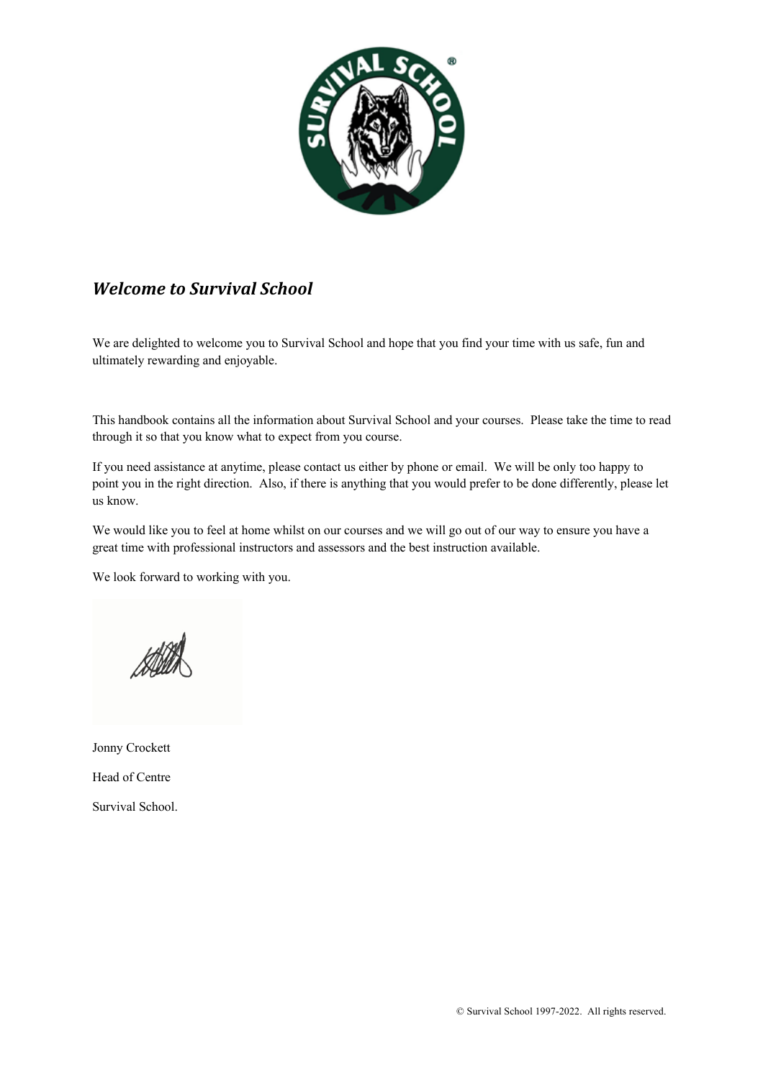

## *Welcome to Survival School*

We are delighted to welcome you to Survival School and hope that you find your time with us safe, fun and ultimately rewarding and enjoyable.

This handbook contains all the information about Survival School and your courses. Please take the time to read through it so that you know what to expect from you course.

If you need assistance at anytime, please contact us either by phone or email. We will be only too happy to point you in the right direction. Also, if there is anything that you would prefer to be done differently, please let us know.

We would like you to feel at home whilst on our courses and we will go out of our way to ensure you have a great time with professional instructors and assessors and the best instruction available.

We look forward to working with you.

Jonny Crockett Head of Centre Survival School.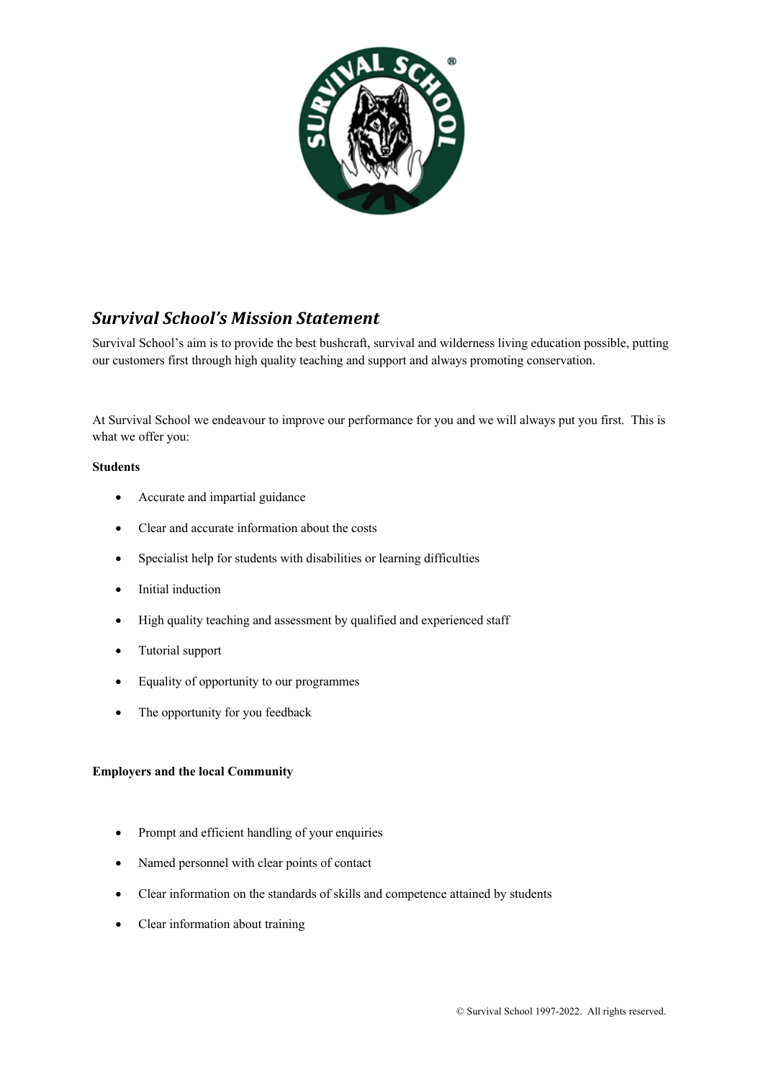

## *Survival School's Mission Statement*

Survival School's aim is to provide the best bushcraft, survival and wilderness living education possible, putting our customers first through high quality teaching and support and always promoting conservation.

At Survival School we endeavour to improve our performance for you and we will always put you first. This is what we offer you:

#### **Students**

- Accurate and impartial guidance
- Clear and accurate information about the costs
- Specialist help for students with disabilities or learning difficulties
- Initial induction
- High quality teaching and assessment by qualified and experienced staff
- Tutorial support
- Equality of opportunity to our programmes
- The opportunity for you feedback

#### **Employers and the local Community**

- Prompt and efficient handling of your enquiries
- Named personnel with clear points of contact
- Clear information on the standards of skills and competence attained by students
- Clear information about training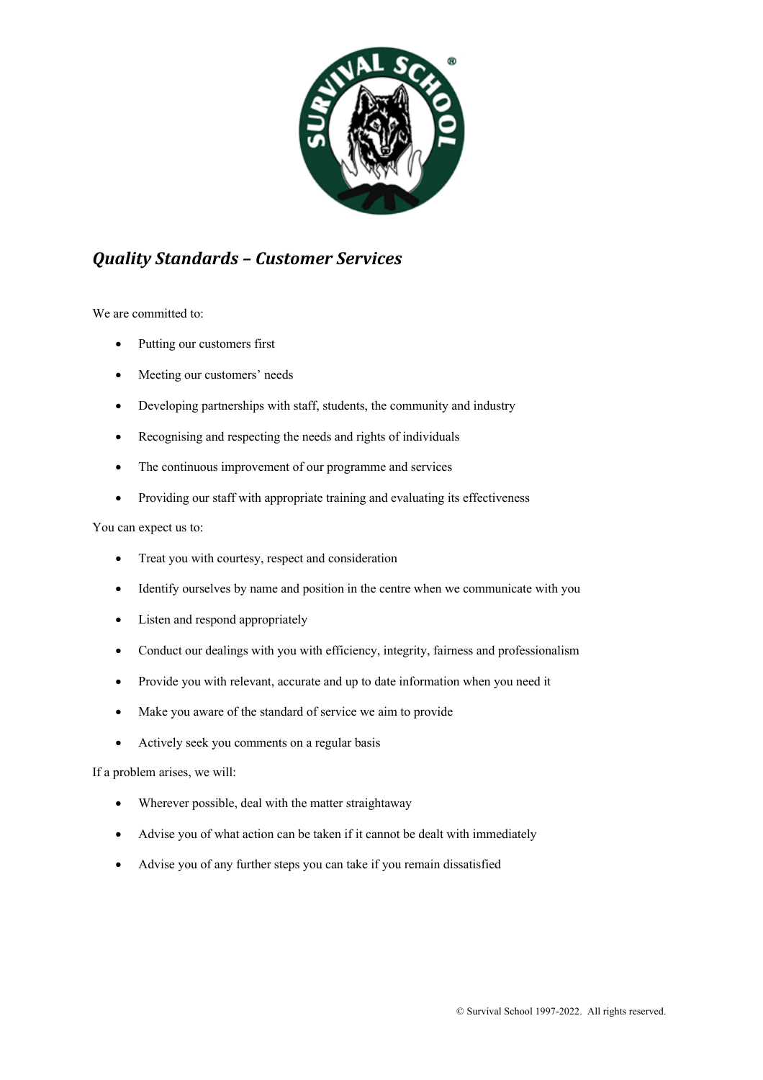

### *Quality Standards – Customer Services*

We are committed to:

- Putting our customers first
- Meeting our customers' needs
- Developing partnerships with staff, students, the community and industry
- Recognising and respecting the needs and rights of individuals
- The continuous improvement of our programme and services
- Providing our staff with appropriate training and evaluating its effectiveness

### You can expect us to:

- Treat you with courtesy, respect and consideration
- Identify ourselves by name and position in the centre when we communicate with you
- Listen and respond appropriately
- Conduct our dealings with you with efficiency, integrity, fairness and professionalism
- Provide you with relevant, accurate and up to date information when you need it
- Make you aware of the standard of service we aim to provide
- Actively seek you comments on a regular basis

If a problem arises, we will:

- Wherever possible, deal with the matter straightaway
- Advise you of what action can be taken if it cannot be dealt with immediately
- Advise you of any further steps you can take if you remain dissatisfied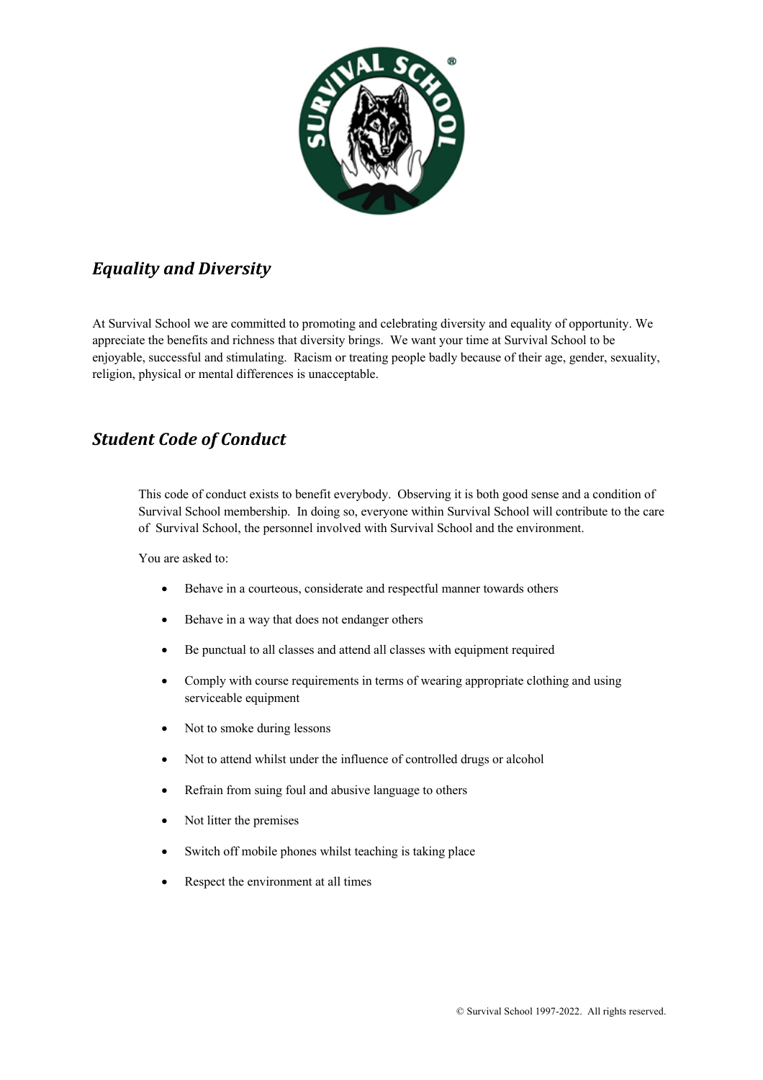

## *Equality and Diversity*

At Survival School we are committed to promoting and celebrating diversity and equality of opportunity. We appreciate the benefits and richness that diversity brings. We want your time at Survival School to be enjoyable, successful and stimulating. Racism or treating people badly because of their age, gender, sexuality, religion, physical or mental differences is unacceptable.

### **Student Code of Conduct**

This code of conduct exists to benefit everybody. Observing it is both good sense and a condition of Survival School membership. In doing so, everyone within Survival School will contribute to the care of Survival School, the personnel involved with Survival School and the environment.

You are asked to:

- Behave in a courteous, considerate and respectful manner towards others
- Behave in a way that does not endanger others
- Be punctual to all classes and attend all classes with equipment required
- Comply with course requirements in terms of wearing appropriate clothing and using serviceable equipment
- Not to smoke during lessons
- Not to attend whilst under the influence of controlled drugs or alcohol
- Refrain from suing foul and abusive language to others
- Not litter the premises
- Switch off mobile phones whilst teaching is taking place
- Respect the environment at all times